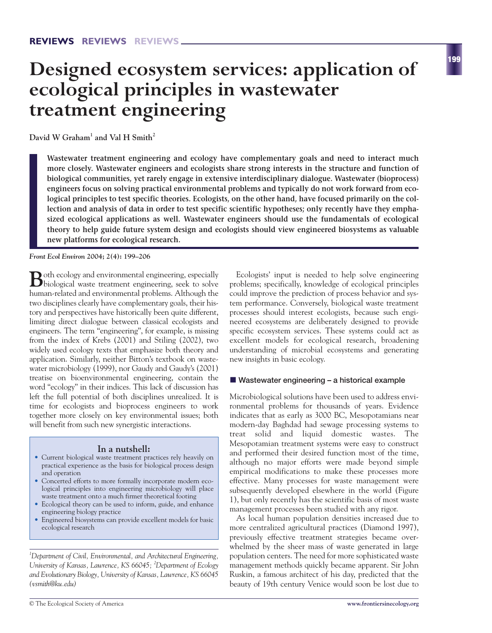# **Designed ecosystem services: application of ecological principles in wastewater treatment engineering**

**David W Graham1 and Val H Smith<sup>2</sup>**

**Wastewater treatment engineering and ecology have complementary goals and need to interact much more closely. Wastewater engineers and ecologists share strong interests in the structure and function of biological communities, yet rarely engage in extensive interdisciplinary dialogue. Wastewater (bioprocess) engineers focus on solving practical environmental problems and typically do not work forward from ecological principles to test specific theories. Ecologists, on the other hand, have focused primarily on the collection and analysis of data in order to test specific scientific hypotheses; only recently have they emphasized ecological applications as well. Wastewater engineers should use the fundamentals of ecological theory to help guide future system design and ecologists should view engineered biosystems as valuable new platforms for ecological research.**

*Front Ecol Environ* **2004; 2(4): 199–206**

**B**oth ecology and environmental engineering, especially biological waste treatment engineering, seek to solve human-related and environmental problems. Although the two disciplines clearly have complementary goals, their history and perspectives have historically been quite different, limiting direct dialogue between classical ecologists and engineers. The term "engineering", for example, is missing from the index of Krebs (2001) and Stiling (2002), two widely used ecology texts that emphasize both theory and application. Similarly, neither Bitton's textbook on wastewater microbiology (1999), nor Gaudy and Gaudy's (2001) treatise on bioenvironmental engineering, contain the word "ecology" in their indices. This lack of discussion has left the full potential of both disciplines unrealized. It is time for ecologists and bioprocess engineers to work together more closely on key environmental issues; both will benefit from such new synergistic interactions.

#### **In a nutshell:**

- Current biological waste treatment practices rely heavily on practical experience as the basis for biological process design and operation
- Concerted efforts to more formally incorporate modern ecological principles into engineering microbiology will place waste treatment onto a much firmer theoretical footing
- Ecological theory can be used to inform, guide, and enhance engineering biology practice
- Engineered biosystems can provide excellent models for basic ecological research

*1 Department of Civil, Environmental, and Architectural Engineering, University of Kansas, Lawrence, KS 66045; <sup>2</sup> Department of Ecology and Evolutionary Biology, University of Kansas, Lawrence, KS 66045 (vsmith@ku.edu)*

Ecologists' input is needed to help solve engineering problems; specifically, knowledge of ecological principles could improve the prediction of process behavior and system performance. Conversely, biological waste treatment processes should interest ecologists, because such engineered ecosystems are deliberately designed to provide specific ecosystem services. These systems could act as excellent models for ecological research, broadening understanding of microbial ecosystems and generating new insights in basic ecology.

#### ■ Wastewater engineering - a historical example

Microbiological solutions have been used to address environmental problems for thousands of years. Evidence indicates that as early as 3000 BC, Mesopotamians near modern-day Baghdad had sewage processing systems to treat solid and liquid domestic wastes. The Mesopotamian treatment systems were easy to construct and performed their desired function most of the time, although no major efforts were made beyond simple empirical modifications to make these processes more effective. Many processes for waste management were subsequently developed elsewhere in the world (Figure 1), but only recently has the scientific basis of most waste management processes been studied with any rigor.

As local human population densities increased due to more centralized agricultural practices (Diamond 1997), previously effective treatment strategies became overwhelmed by the sheer mass of waste generated in large population centers. The need for more sophisticated waste management methods quickly became apparent. Sir John Ruskin, a famous architect of his day, predicted that the beauty of 19th century Venice would soon be lost due to

**199**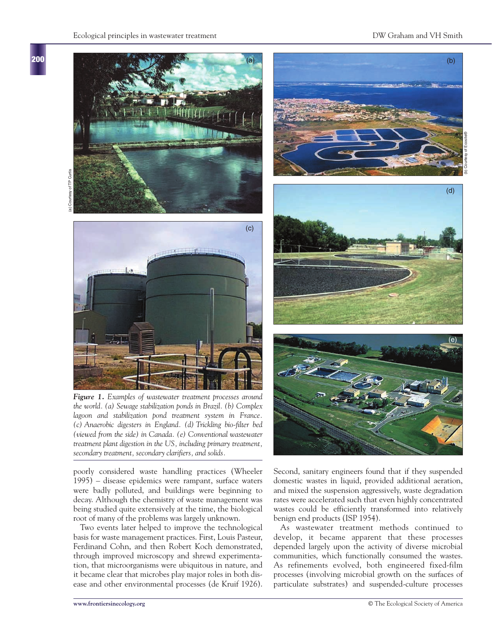#### Ecological principles in wastewater treatment DW Graham and VH Smith

**200**



*Figure 1. Examples of wastewater treatment processes around the world. (a) Sewage stabilization ponds in Brazil. (b) Complex lagoon and stabilization pond treatment system in France. (c) Anaerobic digesters in England. (d) Trickling bio-filter bed (viewed from the side) in Canada. (e) Conventional wastewater treatment plant digestion in the US, including primary treatment, secondary treatment, secondary clarifiers, and solids.*

poorly considered waste handling practices (Wheeler 1995) – disease epidemics were rampant, surface waters were badly polluted, and buildings were beginning to decay. Although the chemistry of waste management was being studied quite extensively at the time, the biological root of many of the problems was largely unknown.

Two events later helped to improve the technological basis for waste management practices. First, Louis Pasteur, Ferdinand Cohn, and then Robert Koch demonstrated, through improved microscopy and shrewd experimentation, that microorganisms were ubiquitous in nature, and it became clear that microbes play major roles in both disease and other environmental processes (de Kruif 1926).







Second, sanitary engineers found that if they suspended domestic wastes in liquid, provided additional aeration, and mixed the suspension aggressively, waste degradation rates were accelerated such that even highly concentrated wastes could be efficiently transformed into relatively benign end products (ISP 1954).

As wastewater treatment methods continued to develop, it became apparent that these processes depended largely upon the activity of diverse microbial communities, which functionally consumed the wastes. As refinements evolved, both engineered fixed-film processes (involving microbial growth on the surfaces of particulate substrates) and suspended-culture processes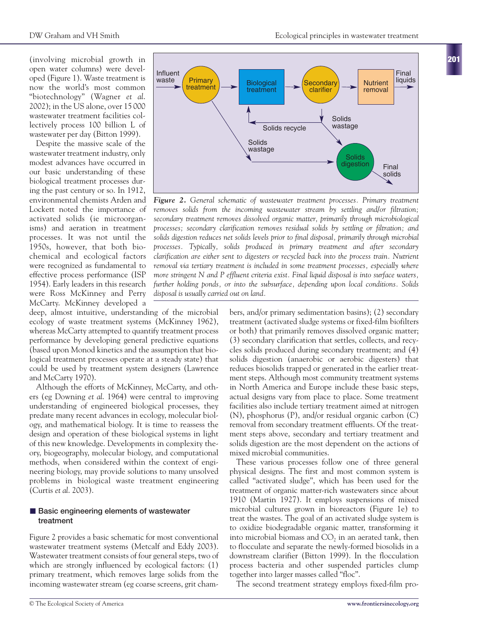(involving microbial growth in open water columns) were developed (Figure 1). Waste treatment is now the world's most common "biotechnology" (Wagner *et al*. 2002); in the US alone, over 15 000 wastewater treatment facilities collectively process 100 billion L of wastewater per day (Bitton 1999).

Despite the massive scale of the wastewater treatment industry, only modest advances have occurred in our basic understanding of these biological treatment processes during the past century or so. In 1912, environmental chemists Arden and Lockett noted the importance of activated solids (ie microorganisms) and aeration in treatment processes. It was not until the 1950s, however, that both biochemical and ecological factors were recognized as fundamental to effective process performance (ISP 1954). Early leaders in this research were Ross McKinney and Perry McCarty. McKinney developed a

deep, almost intuitive, understanding of the microbial ecology of waste treatment systems (McKinney 1962), whereas McCarty attempted to quantify treatment process performance by developing general predictive equations (based upon Monod kinetics and the assumption that biological treatment processes operate at a steady state) that could be used by treatment system designers (Lawrence and McCarty 1970).

Although the efforts of McKinney, McCarty, and others (eg Downing *et al*. 1964) were central to improving understanding of engineered biological processes, they predate many recent advances in ecology, molecular biology, and mathematical biology. It is time to reassess the design and operation of these biological systems in light of this new knowledge. Developments in complexity theory, biogeography, molecular biology, and computational methods, when considered within the context of engineering biology, may provide solutions to many unsolved problems in biological waste treatment engineering (Curtis *et al*. 2003).

#### $\blacksquare$  **Basic engineering elements of wastewater treatment**

Figure 2 provides a basic schematic for most conventional wastewater treatment systems (Metcalf and Eddy 2003). Wastewater treatment consists of four general steps, two of which are strongly influenced by ecological factors: (1) primary treatment, which removes large solids from the incoming wastewater stream (eg coarse screens, grit cham-

Primary **Primary Biological**<br>treatment **Biological** treatment **Secondary** clarifier **Nutrient** removal **Solids** digestion Influent waste Final liquids Solids<br>wastage Solids recycle Solids wastage Final solids

*Figure 2. General schematic of wastewater treatment processes. Primary treatment removes solids from the incoming wastewater stream by settling and/or filtration; secondary treatment removes dissolved organic matter, primarily through microbiological processes; secondary clarification removes residual solids by settling or filtration; and solids digestion reduces net solids levels prior to final disposal, primarily through microbial processes. Typically, solids produced in primary treatment and after secondary clarification are either sent to digesters or recycled back into the process train. Nutrient removal via tertiary treatment is included in some treatment processes, especially where more stringent N and P effluent criteria exist. Final liquid disposal is into surface waters, further holding ponds, or into the subsurface, depending upon local conditions. Solids disposal is usually carried out on land.*

bers, and/or primary sedimentation basins); (2) secondary treatment (activated sludge systems or fixed-film biofilters or both) that primarily removes dissolved organic matter; (3) secondary clarification that settles, collects, and recycles solids produced during secondary treatment; and (4) solids digestion (anaerobic or aerobic digesters) that reduces biosolids trapped or generated in the earlier treatment steps. Although most community treatment systems in North America and Europe include these basic steps, actual designs vary from place to place. Some treatment facilities also include tertiary treatment aimed at nitrogen (N), phosphorus (P), and/or residual organic carbon (C) removal from secondary treatment effluents. Of the treatment steps above, secondary and tertiary treatment and solids digestion are the most dependent on the actions of mixed microbial communities.

These various processes follow one of three general physical designs. The first and most common system is called "activated sludge", which has been used for the treatment of organic matter-rich wastewaters since about 1910 (Martin 1927). It employs suspensions of mixed microbial cultures grown in bioreactors (Figure 1e) to treat the wastes. The goal of an activated sludge system is to oxidize biodegradable organic matter, transforming it into microbial biomass and  $CO<sub>2</sub>$  in an aerated tank, then to flocculate and separate the newly-formed biosolids in a downstream clarifier (Bitton 1999). In the flocculation process bacteria and other suspended particles clump together into larger masses called "floc".

The second treatment strategy employs fixed-film pro-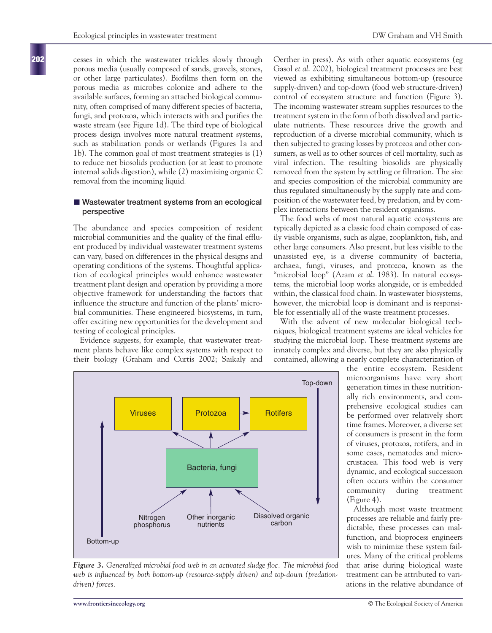cesses in which the wastewater trickles slowly through porous media (usually composed of sands, gravels, stones, or other large particulates). Biofilms then form on the porous media as microbes colonize and adhere to the available surfaces, forming an attached biological community, often comprised of many different species of bacteria, fungi, and protozoa, which interacts with and purifies the waste stream (see Figure 1d). The third type of biological process design involves more natural treatment systems, such as stabilization ponds or wetlands (Figures 1a and 1b). The common goal of most treatment strategies is (1) to reduce net biosolids production (or at least to promote internal solids digestion), while (2) maximizing organic C removal from the incoming liquid.

#### $\blacksquare$  Wastewater treatment systems from an ecological **perspective**

The abundance and species composition of resident microbial communities and the quality of the final effluent produced by individual wastewater treatment systems can vary, based on differences in the physical designs and operating conditions of the systems. Thoughtful application of ecological principles would enhance wastewater treatment plant design and operation by providing a more objective framework for understanding the factors that influence the structure and function of the plants' microbial communities. These engineered biosystems, in turn, offer exciting new opportunities for the development and testing of ecological principles.

Evidence suggests, for example, that wastewater treatment plants behave like complex systems with respect to their biology (Graham and Curtis 2002; Saikaly and



The food webs of most natural aquatic ecosystems are typically depicted as a classic food chain composed of easily visible organisms, such as algae, zooplankton, fish, and other large consumers. Also present, but less visible to the unassisted eye, is a diverse community of bacteria, archaea, fungi, viruses, and protozoa, known as the "microbial loop" (Azam *et al*. 1983). In natural ecosystems, the microbial loop works alongside, or is embedded within, the classical food chain. In wastewater biosystems, however, the microbial loop is dominant and is responsible for essentially all of the waste treatment processes.

With the advent of new molecular biological techniques, biological treatment systems are ideal vehicles for studying the microbial loop. These treatment systems are innately complex and diverse, but they are also physically contained, allowing a nearly complete characterization of



*Figure 3. Generalized microbial food web in an activated sludge floc. The microbial food* web is influenced by both bottom-up (resource-supply driven) and top-down (predation*driven) forces.*

the entire ecosystem. Resident microorganisms have very short generation times in these nutritionally rich environments, and comprehensive ecological studies can be performed over relatively short time frames. Moreover, a diverse set of consumers is present in the form of viruses, protozoa, rotifers, and in some cases, nematodes and microcrustacea. This food web is very dynamic, and ecological succession often occurs within the consumer community during treatment (Figure 4).

Although most waste treatment processes are reliable and fairly predictable, these processes can malfunction, and bioprocess engineers wish to minimize these system failures. Many of the critical problems that arise during biological waste treatment can be attributed to variations in the relative abundance of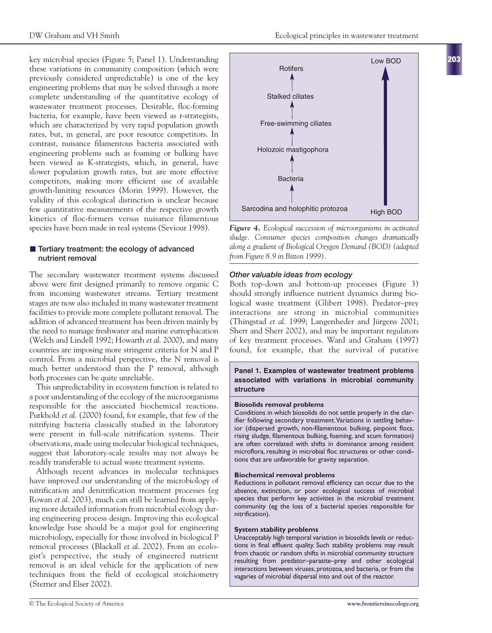key microbial species (Figure 5; Panel 1). Understanding these variations in community composition (which were previously considered unpredictable) is one of the key engineering problems that may be solved through a more complete understanding of the quantitative ecology of wastewater treatment processes. Desirable, floc-forming bacteria, for example, have been viewed as r-strategists, which are characterized by very rapid population growth rates, but, in general, are poor resource competitors. In contrast, nuisance filamentous bacteria associated with engineering problems such as foaming or bulking have been viewed as K-strategists, which, in general, have slower population growth rates, but are more effective competitors, making more efficient use of available growth-limiting resources (Morin 1999). However, the validity of this ecological distinction is unclear because few quantitative measurements of the respective growth kinetics of floc-formers versus nuisance filamentous species have been made in real systems (Seviour 1998).

## $\blacksquare$  Tertiary treatment: the ecology of advanced **nutrient removal**

The secondary wastewater treatment systems discussed above were first designed primarily to remove organic C from incoming wastewater streams. Tertiary treatment stages are now also included in many wastewater treatment facilities to provide more complete pollutant removal. The addition of advanced treatment has been driven mainly by the need to manage freshwater and marine eutrophication (Welch and Lindell 1992; Howarth *et al*. 2000), and many countries are imposing more stringent criteria for N and P control. From a microbial perspective, the N removal is much better understood than the P removal, although both processes can be quite unreliable.

This unpredictability in ecosystem function is related to a poor understanding of the ecology of the microorganisms responsible for the associated biochemical reactions. Purkhold *et al*. (2000) found, for example, that few of the nitrifying bacteria classically studied in the laboratory were present in full-scale nitrification systems. Their observations, made using molecular biological techniques, suggest that laboratory-scale results may not always be readily transferable to actual waste treatment systems.

Although recent advances in molecular techniques have improved our understanding of the microbiology of nitrification and denitrification treatment processes (eg Rowan *et al*. 2003), much can still be learned from applying more detailed information from microbial ecology during engineering process design. Improving this ecological knowledge base should be a major goal for engineering microbiology, especially for those involved in biological P removal processes (Blackall *et al*. 2002). From an ecologist's perspective, the study of engineered nutrient removal is an ideal vehicle for the application of new techniques from the field of ecological stoichiometry (Sterner and Elser 2002).

**203**



*Figure 4. Ecological succession of microorganisms in activated sludge. Consumer species composition changes dramatically along a gradient of Biological Oxygen Demand (BOD) (adapted from Figure 8.9 in Bitton 1999).*

#### *Other valuable ideas from ecology*

Both top-down and bottom-up processes (Figure 3) should strongly influence nutrient dynamics during biological waste treatment (Glibert 1998). Predator–prey interactions are strong in microbial communities (Thingstad *et al*. 1999; Langenheder and Jürgens 2001; Sherr and Sherr 2002), and may be important regulators of key treatment processes. Ward and Graham (1997) found, for example, that the survival of putative

#### **Panel 1. Examples of wastewater treatment problems associated with variations in microbial community structure**

#### **Biosolids removal problems**

Conditions in which biosolids do not settle properly in the clarifier following secondary treatment. Variations in settling behavior (dispersed growth, non-filamentous bulking, pinpoint flocs, rising sludge, filamentous bulking, foaming, and scum formation) are often correlated with shifts in dominance among resident microflora, resulting in microbial floc structures or other conditions that are unfavorable for gravity separation.

#### **Biochemical removal problems**

Reductions in pollutant removal efficiency can occur due to the absence, extinction, or poor ecological success of microbial species that perform key activities in the microbial treatment community (eg the loss of a bacterial species responsible for nitrification).

#### **System stability problems**

Unacceptably high temporal variation in biosolids levels or reductions in final effluent quality. Such stability problems may result from chaotic or random shifts in microbial community structure resulting from predator–parasite–prey and other ecological interactions between viruses, protozoa, and bacteria, or from the vagaries of microbial dispersal into and out of the reactor.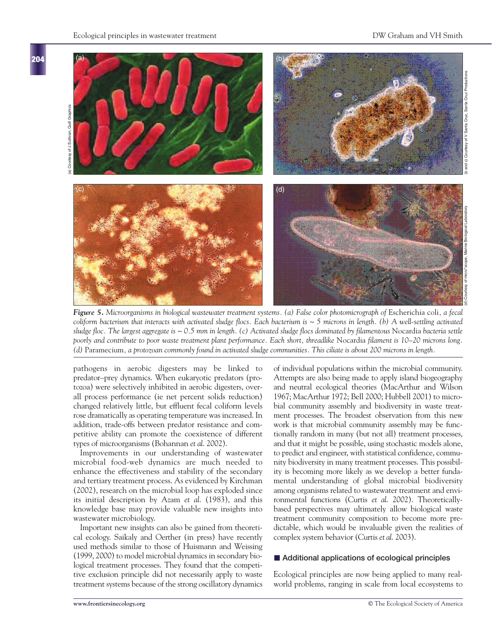

*Figure 5. Microorganisms in biological wastewater treatment systems. (a) False color photomicrograph of* Escherichia coli*, a fecal coliform bacterium that interacts with activated sludge flocs. Each bacterium is ~ 5 microns in length. (b) A well-settling activated sludge floc. The largest aggregate is ~ 0.5 mm in length. (c) Activated sludge flocs dominated by filamentous* Nocardia *bacteria settle poorly and contribute to poor waste treatment plant performance. Each short, threadlike* Nocardia *filament is 10–20 microns long. (d)* Paramecium*, a protozoan commonly found in activated sludge communities. This ciliate is about 200 microns in length.* 

pathogens in aerobic digesters may be linked to predator–prey dynamics. When eukaryotic predators (protozoa) were selectively inhibited in aerobic digesters, overall process performance (ie net percent solids reduction) changed relatively little, but effluent fecal coliform levels rose dramatically as operating temperature was increased. In addition, trade-offs between predator resistance and competitive ability can promote the coexistence of different types of microorganisms (Bohannan *et al*. 2002).

Improvements in our understanding of wastewater microbial food-web dynamics are much needed to enhance the effectiveness and stability of the secondary and tertiary treatment process. As evidenced by Kirchman (2002), research on the microbial loop has exploded since its initial description by Azam *et al*. (1983), and this knowledge base may provide valuable new insights into wastewater microbiology.

Important new insights can also be gained from theoretical ecology. Saikaly and Oerther (in press) have recently used methods similar to those of Huismann and Weissing (1999, 2000) to model microbial dynamics in secondary biological treatment processes. They found that the competitive exclusion principle did not necessarily apply to waste treatment systems because of the strong oscillatory dynamics of individual populations within the microbial community. Attempts are also being made to apply island biogeography and neutral ecological theories (MacArthur and Wilson 1967; MacArthur 1972; Bell 2000; Hubbell 2001) to microbial community assembly and biodiversity in waste treatment processes. The broadest observation from this new work is that microbial community assembly may be functionally random in many (but not all) treatment processes, and that it might be possible, using stochastic models alone, to predict and engineer, with statistical confidence, community biodiversity in many treatment processes. This possibility is becoming more likely as we develop a better fundamental understanding of global microbial biodiversity among organisms related to wastewater treatment and environmental functions (Curtis *et al*. 2002). Theoreticallybased perspectives may ultimately allow biological waste treatment community composition to become more predictable, which would be invaluable given the realities of complex system behavior (Curtis *et al*. 2003).

#### ■ Additional applications of ecological principles

Ecological principles are now being applied to many realworld problems, ranging in scale from local ecosystems to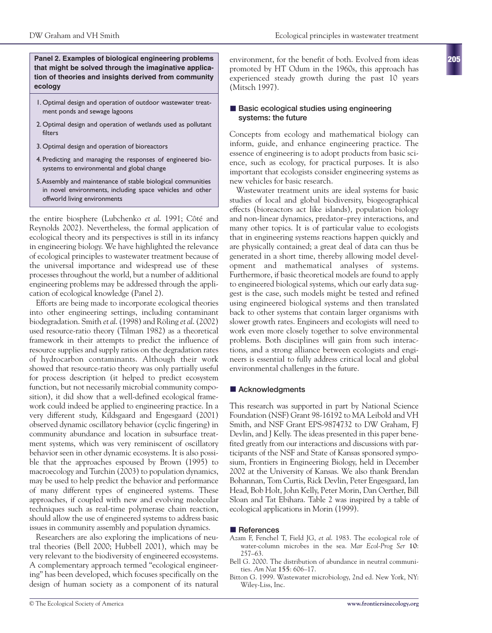**Panel 2. Examples of biological engineering problems that might be solved through the imaginative application of theories and insights derived from community ecology**

- 1. Optimal design and operation of outdoor wastewater treatment ponds and sewage lagoons
- 2. Optimal design and operation of wetlands used as pollutant filters
- 3. Optimal design and operation of bioreactors
- 4. Predicting and managing the responses of engineered biosystems to environmental and global change
- 5.Assembly and maintenance of stable biological communities in novel environments, including space vehicles and other offworld living environments

the entire biosphere (Lubchenko *et al*. 1991; Côté and Reynolds 2002). Nevertheless, the formal application of ecological theory and its perspectives is still in its infancy in engineering biology. We have highlighted the relevance of ecological principles to wastewater treatment because of the universal importance and widespread use of these processes throughout the world, but a number of additional engineering problems may be addressed through the application of ecological knowledge (Panel 2).

Efforts are being made to incorporate ecological theories into other engineering settings, including contaminant biodegradation. Smith *et al*. (1998) and Röling *et al*. (2002) used resource-ratio theory (Tilman 1982) as a theoretical framework in their attempts to predict the influence of resource supplies and supply ratios on the degradation rates of hydrocarbon contaminants. Although their work showed that resource-ratio theory was only partially useful for process description (it helped to predict ecosystem function, but not necessarily microbial community composition), it did show that a well-defined ecological framework could indeed be applied to engineering practice. In a very different study, Kildsgaard and Engesgaard (2001) observed dynamic oscillatory behavior (cyclic fingering) in community abundance and location in subsurface treatment systems, which was very reminiscent of oscillatory behavior seen in other dynamic ecosystems. It is also possible that the approaches espoused by Brown (1995) to macroecology and Turchin (2003) to population dynamics, may be used to help predict the behavior and performance of many different types of engineered systems. These approaches, if coupled with new and evolving molecular techniques such as real-time polymerase chain reaction, should allow the use of engineered systems to address basic issues in community assembly and population dynamics.

Researchers are also exploring the implications of neutral theories (Bell 2000; Hubbell 2001), which may be very relevant to the biodiversity of engineered ecosystems. A complementary approach termed "ecological engineering" has been developed, which focuses specifically on the design of human society as a component of its natural

environment, for the benefit of both. Evolved from ideas promoted by HT Odum in the 1960s, this approach has experienced steady growth during the past 10 years (Mitsch 1997).

#### $\blacksquare$  Basic ecological studies using engineering **systems: the future**

Concepts from ecology and mathematical biology can inform, guide, and enhance engineering practice. The essence of engineering is to adopt products from basic science, such as ecology, for practical purposes. It is also important that ecologists consider engineering systems as new vehicles for basic research.

Wastewater treatment units are ideal systems for basic studies of local and global biodiversity, biogeographical effects (bioreactors act like islands), population biology and non-linear dynamics, predator–prey interactions, and many other topics. It is of particular value to ecologists that in engineering systems reactions happen quickly and are physically contained; a great deal of data can thus be generated in a short time, thereby allowing model development and mathematical analyses of systems. Furthermore, if basic theoretical models are found to apply to engineered biological systems, which our early data suggest is the case, such models might be tested and refined using engineered biological systems and then translated back to other systems that contain larger organisms with slower growth rates. Engineers and ecologists will need to work even more closely together to solve environmental problems. Both disciplines will gain from such interactions, and a strong alliance between ecologists and engineers is essential to fully address critical local and global environmental challenges in the future.

# $\blacksquare$  **Acknowledgments**

This research was supported in part by National Science Foundation (NSF) Grant 98-16192 to MA Leibold and VH Smith, and NSF Grant EPS-9874732 to DW Graham, FJ Devlin, and J Kelly. The ideas presented in this paper benefited greatly from our interactions and discussions with participants of the NSF and State of Kansas sponsored symposium, Frontiers in Engineering Biology, held in December 2002 at the University of Kansas. We also thank Brendan Bohannan, Tom Curtis, Rick Devlin, Peter Engesgaard, Ian Head, Bob Holt, John Kelly, Peter Morin, Dan Oerther, Bill Sloan and Tat Ebihara. Table 2 was inspired by a table of ecological applications in Morin (1999).

### - **References**

- Azam F, Fenchel T, Field JG, *et al*. 1983. The ecological role of water-column microbes in the sea. *Mar Ecol-Prog Ser* **10**: 257–63.
- Bell G. 2000. The distribution of abundance in neutral communities. *Am Nat* **155**: 606–17.
- Bitton G. 1999. Wastewater microbiology, 2nd ed. New York, NY: Wiley-Liss, Inc.